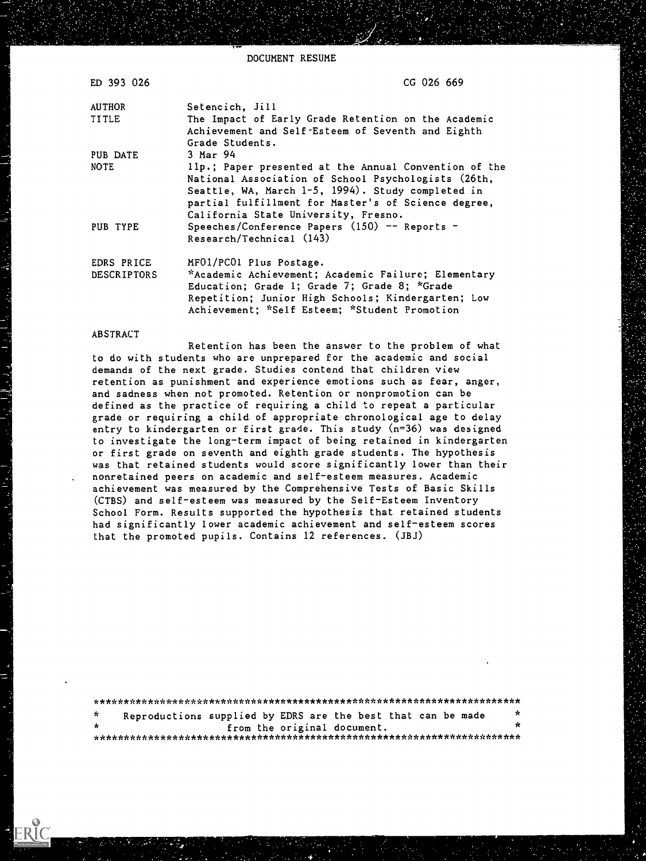DOCUMENT RESUME

| ED 393 026         | CG 026 669                                                                                               |
|--------------------|----------------------------------------------------------------------------------------------------------|
| <b>AUTHOR</b>      | Setencich, Jill                                                                                          |
| TITLE              | The Impact of Early Grade Retention on the Academic<br>Achievement and Self-Esteem of Seventh and Eighth |
|                    | Grade Students.                                                                                          |
| PUB DATE           | 3 Mar 94                                                                                                 |
| <b>NOTE</b>        | 11p.; Paper presented at the Annual Convention of the                                                    |
|                    | National Association of School Psychologists (26th,                                                      |
|                    | Seattle, WA, March 1-5, 1994). Study completed in                                                        |
|                    | partial fulfillment for Master's of Science degree,                                                      |
|                    | California State University, Fresno.                                                                     |
| PUB TYPE           | Speeches/Conference Papers $(150)$ -- Reports -                                                          |
|                    | Research/Technical (143)                                                                                 |
| EDRS PRICE         | MF01/PC01 Plus Postage.                                                                                  |
| <b>DESCRIPTORS</b> | *Academic Achievement; Academic Failure; Elementary                                                      |
|                    | Education; Grade 1; Grade 7; Grade 8; *Grade                                                             |
|                    | Repetition; Junior High Schools; Kindergarten; Low                                                       |
|                    | Achievement; *Self Esteem; *Student Promotion                                                            |

#### ABSTRACT

الهوالمنابية والمعار

Retention has been the answer to the problem of what to do with students who are unprepared for the academic and social demands of the next grade. Studies contend that children view retention as punishment and experience emotions such as fear, anger, and sadness when not promoted. Retention or nonpromotion can be defined as the practice of requiring a child to repeat a particular grade or requiring a child of appropriate chronological age to delay entry to kindergarten or first grade. This study (n=36) was designed to investigate the long-term impact of being retained in kindergarten or first grade on seventh and eighth grade students. The hypothesis was that retained students would score significantly lower than their nonretained peers on academic and self-esteem measures. Academic achievement was measured by the Comprehensive Tests of Basic Skills (CTBS) and self-esteem was measured by the Self-Esteem Inventory School Form. Results supported the hypothesis that retained students had significantly lower academic achievement and self-esteem scores that the promoted pupils. Contains 12 references. (JBJ)

| - se |  | Reproductions supplied by EDRS are the best that can be made | $\star$ |
|------|--|--------------------------------------------------------------|---------|
| *    |  | from the original document.                                  | ×       |
|      |  |                                                              |         |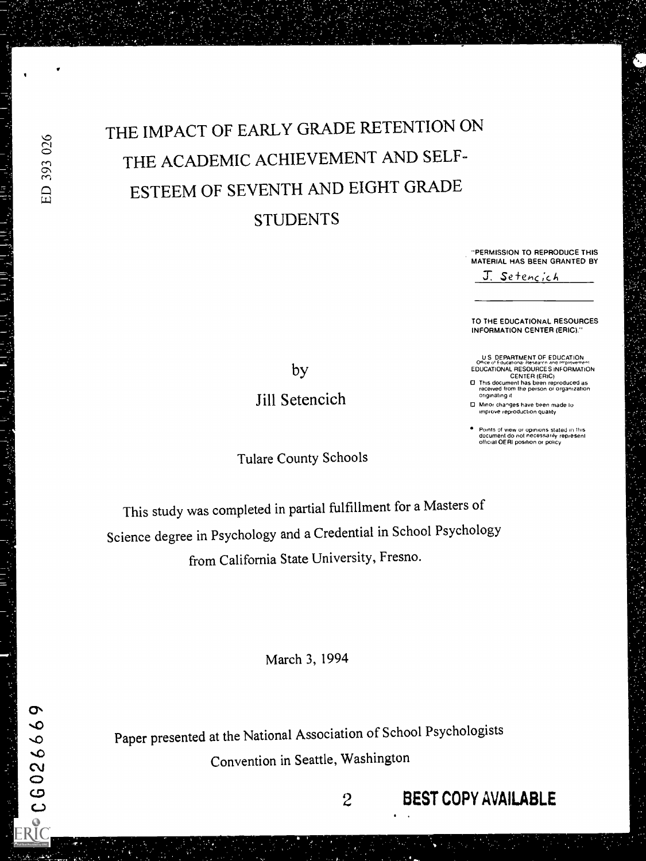THE IMPACT OF EARLY GRADE RETENTION ON THE ACADEMIC ACHIEVEMENT AND SELF-ESTEEM OF SEVENTH AND EIGHT GRADE **STUDENTS** 

> "PERMISSION TO REPRODUCE THIS MATERIAL HAS BEEN GRANTED BY J. Setencich

> TO THE EDUCATIONAL RESOURCES INFORMATION CENTER (ERIC)."

U S DEPARTMENT OF EDUCATION<br>Office of Educationa, Research and Improvement<br>EDUCATIONAL RESOURCES INFORMATION

CENTER (ERIC) 0 This document has been reproduced as received from the person Or organization originating it

0 Minor changes have been made lo improve reproduction quality

Points of view or opinions stated in this document do not necessarily represent official OERI position or policy

by

Jill Setencich

Tulare County Schools

This study was completed in partial fulfillment for a Masters of Science degree in Psychology and a Credential in School Psychology from California State University, Fresno.

March 3, 1994

Paper presented at the National Association of School Psychologists Convention in Seattle, Washington

2 BEST COPY AVAILABLE

ED 393 026

 $\sigma$  $\frac{1}{2}$  C G 02666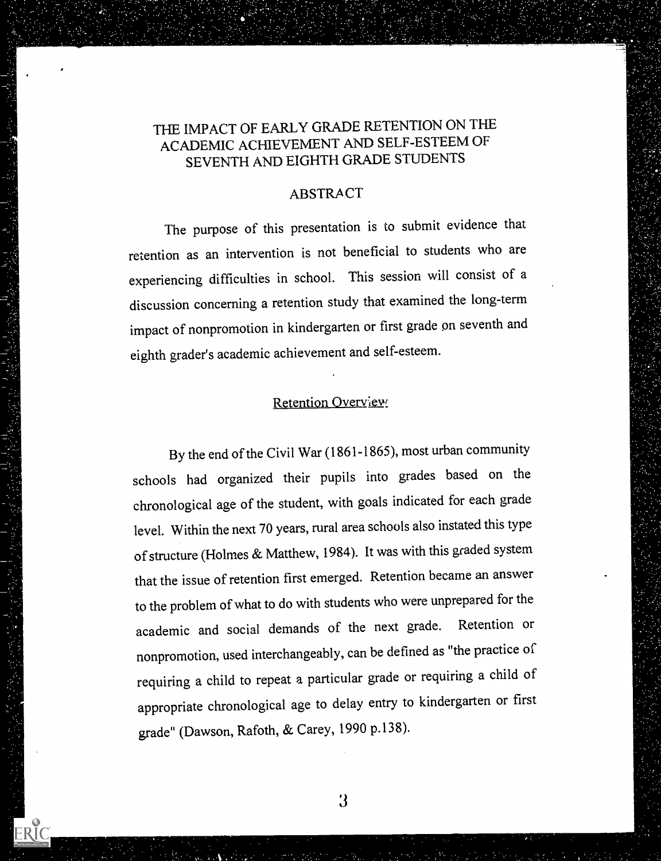# THE IMPACT OF EARLY GRADE RETENTION ON THE ACADEMIC ACHIEVEMENT AND SELF-ESTEEM OF SEVENTH AND EIGHTH GRADE STUDENTS

#### **ABSTRACT**

The purpose of this presentation is to submit evidence that retention as an intervention is not beneficial to students who are experiencing difficulties in school. This session will consist of a discussion concerning a retention study that examined the long-term impact of nonpromotion in kindergarten or first grade on seventh and eighth grader's academic achievement and self-esteem.

# Retention Overview

By the end of the Civil War (1861-1865), most urban community schools had organized their pupils into grades based on the chronological age of the student, with goals indicated for each grade level. Within the next 70 years, rural area schools also instated this type of structure (Holmes & Matthew, 1984). It was with this graded system that the issue of retention first emerged. Retention became an answer to the problem of what to do with students who were unprepared for the academic and social demands of the next grade. Retention or nonpromotion, used interchangeably, can be defined as "the practice of requiring a child to repeat a particular grade or requiring a child of appropriate chronological age to delay entry to kindergarten or first grade" (Dawson, Rafoth, & Carey, 1990 p.138).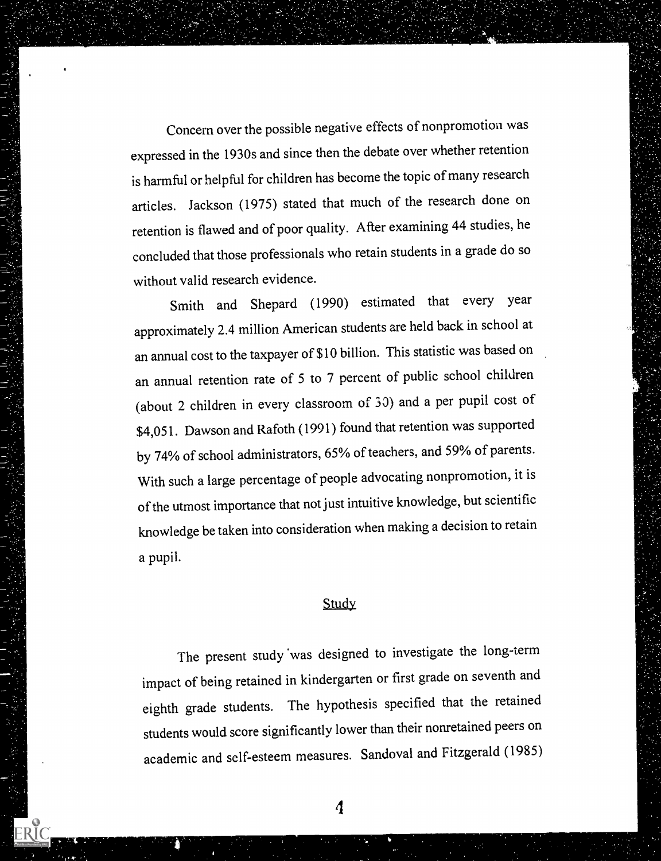Concern over the possible negative effects of nonpromotion was expressed in the 1930s and since then the debate over whether retention is harmful or helpful for children has become the topic of many research articles. Jackson (1975) stated that much of the research done on retention is flawed and of poor quality. After examining 44 studies, he concluded that those professionals who retain students in a grade do so without valid research evidence.

Smith and Shepard (1990) estimated that every year approximately 2.4 million American students are held back in school at an annual cost to the taxpayer of \$10 billion. This statistic was based on an annual retention rate of 5 to 7 percent of public school children (about 2 children in every classroom of 33) and a per pupil cost of \$4,051. Dawson and Rafoth (1991) found that retention was supported by 74% of school administrators, 65% of teachers, and 59% of parents. With such a large percentage of people advocating nonpromotion, it is of the utmost importance that not just intuitive knowledge, but scientific knowledge be taken into consideration when making a decision to retain a pupil.

#### **Study**

The present study 'was designed to investigate the long-term impact of being retained in kindergarten or first grade on seventh and eighth grade students. The hypothesis specified that the retained students would score significantly lower than their nonretained peers on academic and self-esteem measures. Sandoval and Fitzgerald (1985)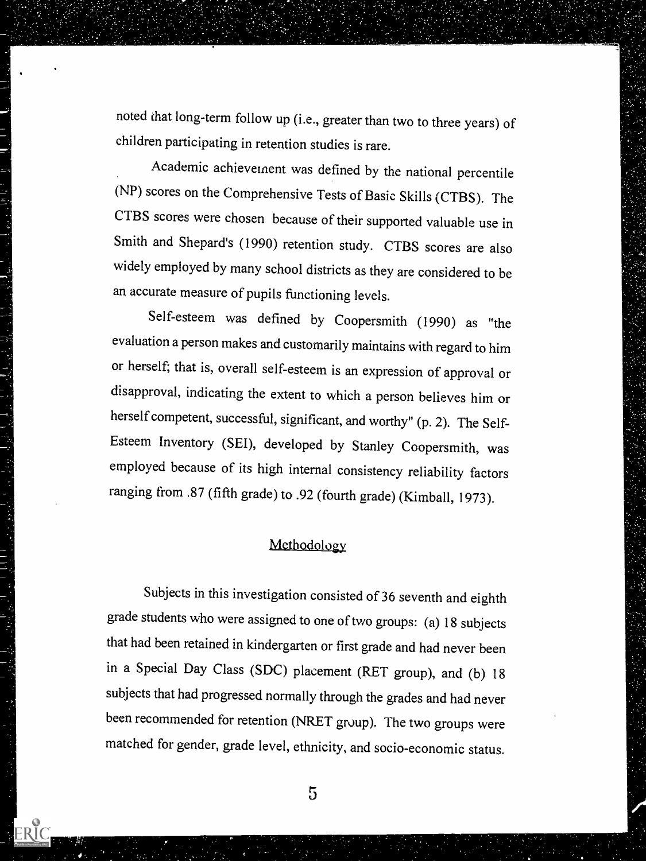noted that long-term follow up (i.e., greater than two to three years) of children participating in retention studies is rare.

Academic achievement was defined by the national percentile (NP) scores on the Comprehensive Tests of Basic Skills (CTBS). The CTBS scores were chosen because of their supported valuable use in Smith and Shepard's (1990) retention study. CTBS scores are also widely employed by many school districts as they are considered to be an accurate measure of pupils functioning levels.

Self-esteem was defined by Coopersmith (1990) as "the evaluation a person makes and customarily maintains with regard to him or herself; that is, overall self-esteem is an expression of approval or disapproval, indicating the extent to which a person believes him or herself competent, successful, significant, and worthy" (p. 2). The Self-Esteem Inventory (SEI), developed by Stanley Coopersmith, was employed because of its high internal consistency reliability factors ranging from .87 (fifth grade) to .92 (fourth grade) (Kimball, 1973).

### Methodology

Subjects in this investigation consisted of 36 seventh and eighth grade students who were assigned to one of two groups: (a) 18 subjects that had been retained in kindergarten or first grade and had never been in a Special Day Class (SDC) placement (RET group), and (b) 18 subjects that had progressed normally through the grades and had never been recommended for retention (NRET group). The two groups were matched for gender, grade level, ethnicity, and socio-economic status.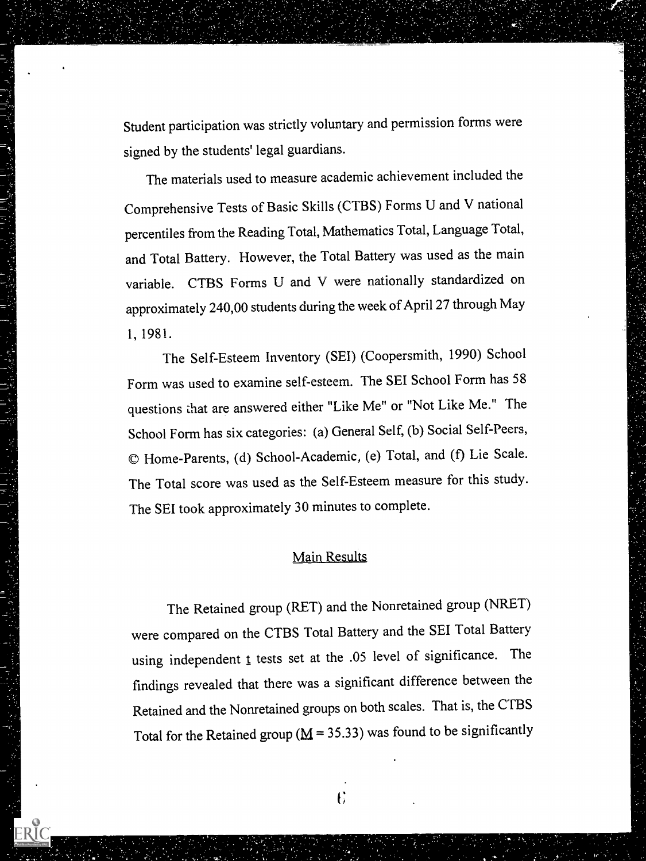Student participation was strictly voluntary and permission forms were signed by the students' legal guardians.

The materials used to measure academic achievement included the Comprehensive Tests of Basic Skills (CTBS) Forms U and V national percentiles from the Reading Total, Mathematics Total, Language Total, and Total Battery. However, the Total Battery was used as the main variable. CTBS Forms U and V were nationally standardized on approximately 240,00 students during the week of April 27 through May 1, 1981.

The Self-Esteem Inventory (SEI) (Coopersmith, 1990) School Form was used to examine self-esteem. The SEI School Form has 58 questions that are answered either "Like Me" or "Not Like Me." The School Form has six categories: (a) General Self, (b) Social Self-Peers, © Home-Parents, (d) School-Academic, (e) Total, and (f) Lie Scale. The Total score was used as the Self-Esteem measure for this study. The SEI took approximately 30 minutes to complete.

#### Main Results

The Retained group (RET) and the Nonretained group (NRET) were compared on the CTBS Total Battery and the SEI Total Battery using independent  $t$  tests set at the .05 level of significance. The findings revealed that there was a significant difference between the Retained and the Nonretained groups on both scales. That is, the CTBS Total for the Retained group ( $M = 35.33$ ) was found to be significantly

 $\overline{6}$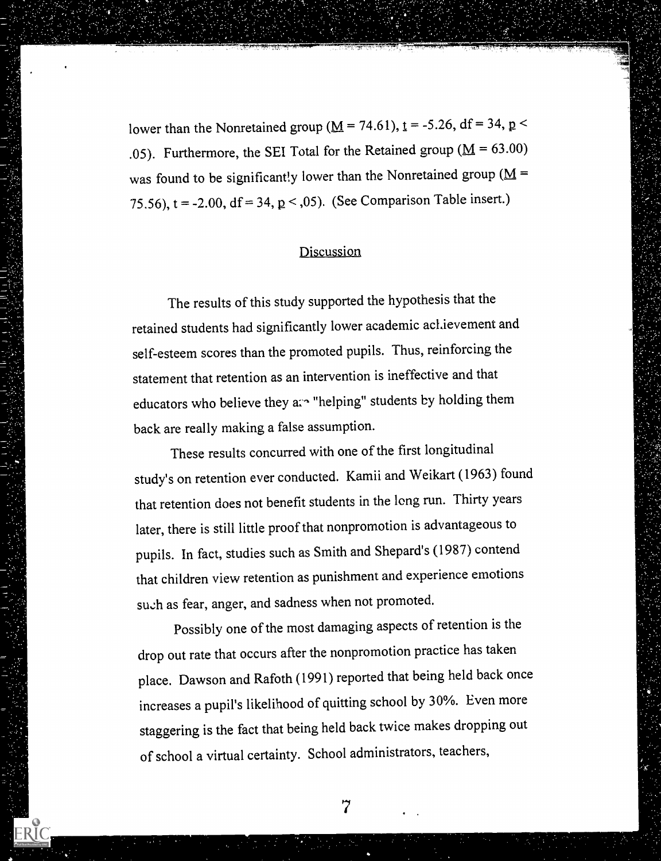lower than the Nonretained group ( $M = 74.61$ ),  $t = -5.26$ , df = 34, p < .05). Furthermore, the SEI Total for the Retained group ( $\underline{M} = 63.00$ ) was found to be significantly lower than the Nonretained group ( $M =$ 75.56),  $t = -2.00$ ,  $df = 34$ ,  $p < 0.05$ . (See Comparison Table insert.)

### Discussion

The results of this study supported the hypothesis that the retained students had significantly lower academic achievement and self-esteem scores than the promoted pupils. Thus, reinforcing the statement that retention as an intervention is ineffective and that educators who believe they are "helping" students by holding them back are really making a false assumption.

These results concurred with one of the first longitudinal study's on retention ever conducted. Kamii and Weikart (1963) found that retention does not benefit students in the long run. Thirty years later, there is still little proof that nonpromotion is advantageous to pupils. In fact, studies such as Smith and Shepard's (1987) contend that children view retention as punishment and experience emotions su.ch as fear, anger, and sadness when not promoted.

Possibly one of the most damaging aspects of retention is the drop out rate that occurs after the nonpromotion practice has taken place. Dawson and Rafoth (1991) reported that being held back once increases a pupil's likelihood of quitting school by 30%. Even more staggering is the fact that being held back twice makes dropping out of school a virtual certainty. School administrators, teachers,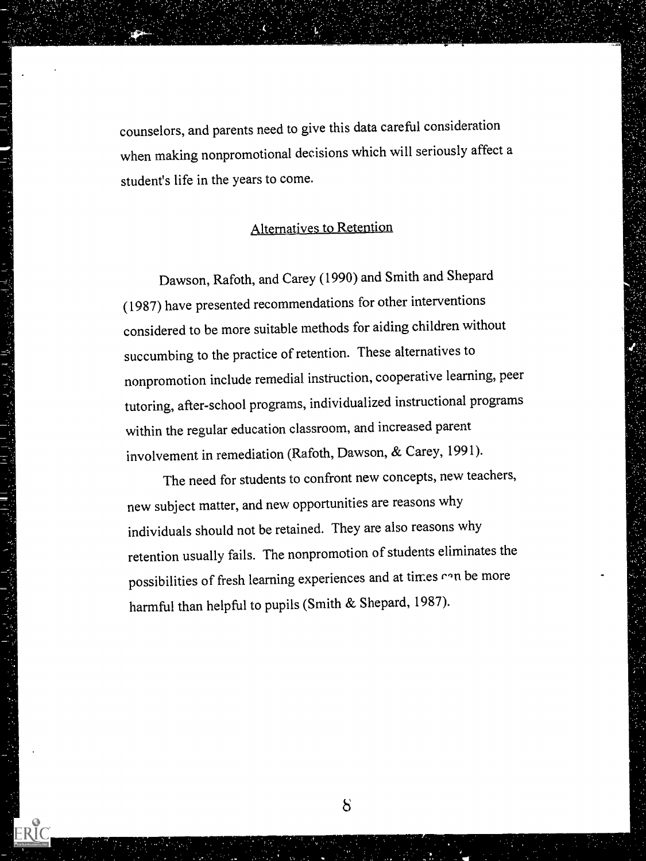counselors, and parents need to give this data careful consideration when making nonpromotional decisions which will seriously affect a student's life in the years to come.

# Alternatives to Retention

Dawson, Rafoth, and Carey (1990) and Smith and Shepard (1987) have presented recommendations for other interventions considered to be more suitable methods for aiding children without succumbing to the practice of retention. These alternatives to nonpromotion include remedial instruction, cooperative learning, peer tutoring, after-school programs, individualized instructional programs within the regular education classroom, and increased parent involvement in remediation (Rafoth, Dawson, & Carey, 1991).

The need for students to confront new concepts, new teachers, new subject matter, and new opportunities are reasons why individuals should not be retained. They are also reasons why retention usually fails. The nonpromotion of students eliminates the possibilities of fresh learning experiences and at times ran be more harmful than helpful to pupils (Smith & Shepard, 1987).

 $\delta$ 

ERIC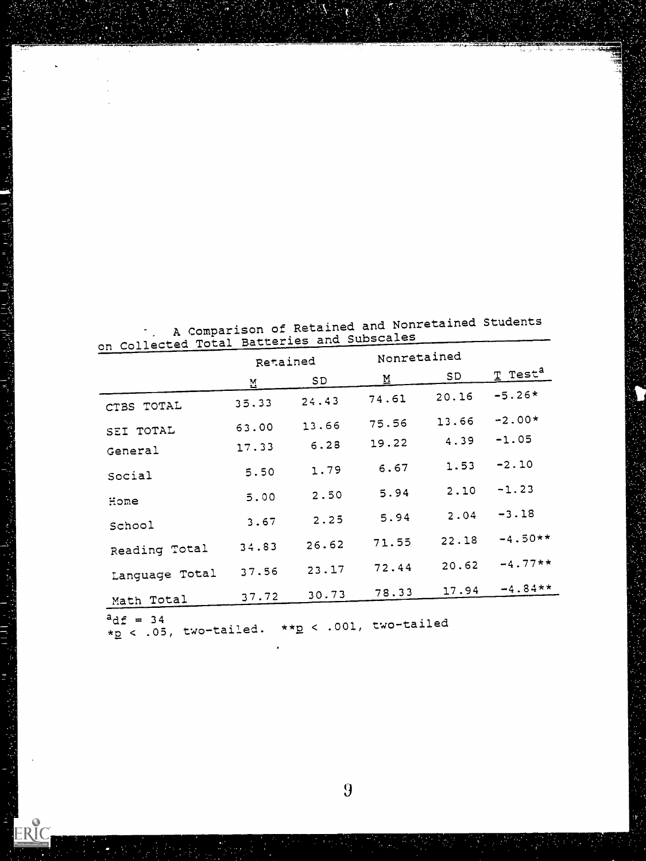|                      | Retained |       | Nonretained |       |                       |
|----------------------|----------|-------|-------------|-------|-----------------------|
|                      | М.       | SD    | M           | SD    | $T$ Test <sup>a</sup> |
| CTBS TOTAL           | 35.33    | 24.43 | 74.61       | 20.16 | $-5.26*$              |
|                      | 63.00    | 13.66 | 75.56       | 13.66 | $-2.00*$              |
| SEI TOTAL<br>General | 17.33    | 6.28  | 19.22       | 4.39  | $-1.05$               |
| Social               | 5.50     | 1.79  | 6.67        | 1.53  | $-2.10$               |
| Home                 | 5.00     | 2.50  | 5.94        | 2.10  | $-1.23$               |
| School               | 3.67     | 2.25  | 5.94        | 2.04  | $-3.18$               |
| Reading Total        | 34.83    | 26.62 | 71.55       | 22.18 | $-4.50**$             |
| Language Total       | 37.56    | 23.17 | 72.44       | 20.62 | $-4.77**$             |
| Math Total           | 37.72    | 30.73 | 78.33       | 17.94 | $-4.84**$             |

. A Comparison of Retained and Nonretained Students on Collected Total Batteries and Subscales

 $\mathbf{r}$ 

j.

ERIC

 $*_{\mathbf{\underline{p}}}$  < .05, two-tailed.  $*_{\mathbf{\underline{p}}}$  < .001, two-tailed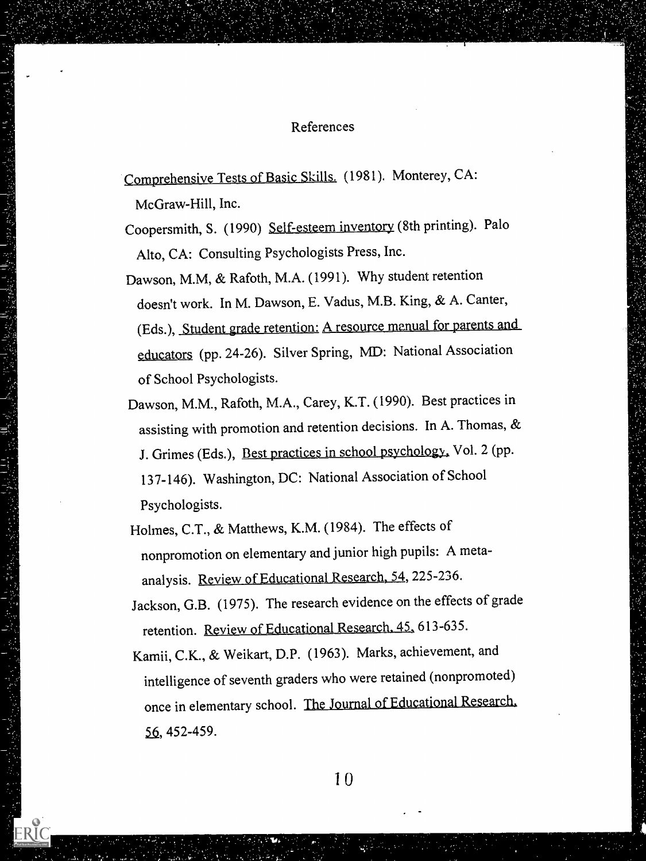#### References

Comprehensive Tests of Basic Skills. (1981). Monterey, CA:

McGraw-Hill, Inc.

- Coopersmith, S. (1990) Self-esteem inventory (8th printing). Palo Alto, CA: Consulting Psychologists Press, Inc.
- Dawson, M.M, & Rafoth, M.A. (1991). Why student retention doesn't work. In M. Dawson, E. Vadus, M.B. King, & A. Canter, (Eds.), Student grade retention: A resource manual for parents and educators (pp. 24-26). Silver Spring, MD: National Association of School Psychologists.
- Dawson, M.M., Rafoth, M.A., Carey, K.T. (1990). Best practices in assisting with promotion and retention decisions. In A. Thomas, & J. Grimes (Eds.), Best practices in school psychology, Vol. 2 (pp. 137-146). Washington, DC: National Association of School Psychologists.
- Holmes, C.T., & Matthews, K.M. (1984). The effects of nonpromotion on elementary and junior high pupils: A metaanalysis. Review of Educational Research, 54, 225-236,
- Jackson, G.B. (1975). The research evidence on the effects of grade retention. Review of Educational Research. 45, 613-635.
- Kamii, C.K., & Weikart, D.P. (1963). Marks, achievement, and intelligence of seventh graders who were retained (nonpromoted) once in elementary school. The Journal of Educational Research, 56, 452-459.